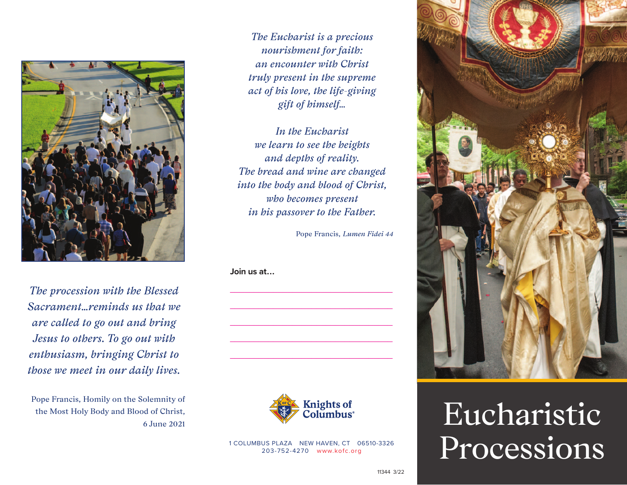

*The procession with the Blessed Sacrament…reminds us that we are called to go out and bring Jesus to others. To go out with enthusiasm, bringing Christ to those we meet in our daily lives.* 

Pope Francis, Homily on the Solemnity of the Most Holy Body and Blood of Christ, 6 June 2021

*The Eucharist is a precious nourishment for faith: an encounter with Christ truly present in the supreme act of his love, the life-giving gift of himself…*

*In the Eucharist we learn to see the heights and depths of reality. The bread and wine are changed into the body and blood of Christ, who becomes present in his passover to the Father.*

\_\_\_\_\_\_\_\_\_\_\_\_\_\_\_\_\_\_\_\_\_\_\_\_\_\_\_\_\_\_\_\_\_\_

\_\_\_\_\_\_\_\_\_\_\_\_\_\_\_\_\_\_\_\_\_\_\_\_\_\_\_\_\_\_\_\_\_\_

\_\_\_\_\_\_\_\_\_\_\_\_\_\_\_\_\_\_\_\_\_\_\_\_\_\_\_\_\_\_\_\_\_\_

\_\_\_\_\_\_\_\_\_\_\_\_\_\_\_\_\_\_\_\_\_\_\_\_\_\_\_\_\_\_\_\_\_\_

\_\_\_\_\_\_\_\_\_\_\_\_\_\_\_\_\_\_\_\_\_\_\_\_\_\_\_\_\_\_\_\_\_\_

Pope Francis, *Lumen Fidei 44*

**Join us at...**



1 COLUMBUS PLAZA NEW HAVEN, CT 06510-3326 203-752-4270 [www.kofc.org](http://kofc.org)



## Eucharistic Processions